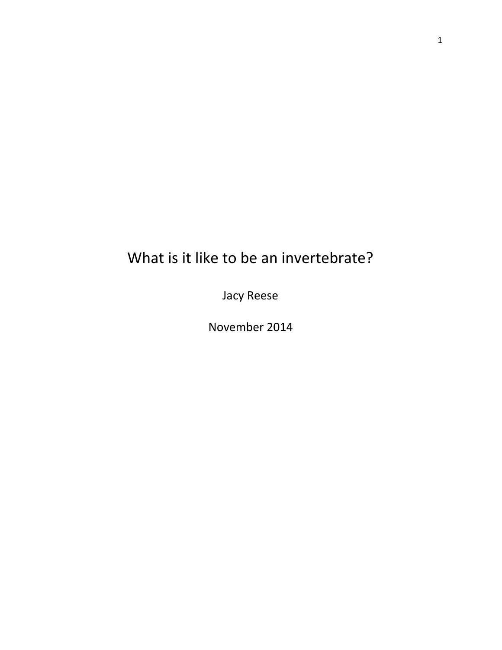# What is it like to be an invertebrate?

Jacy Reese

November 2014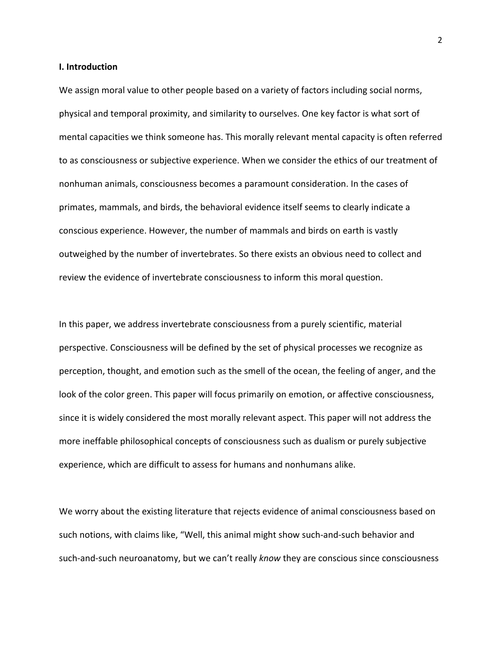## **I. Introduction**

We assign moral value to other people based on a variety of factors including social norms, physical and temporal proximity, and similarity to ourselves. One key factor is what sort of mental capacities we think someone has. This morally relevant mental capacity is often referred to as consciousness or subjective experience. When we consider the ethics of our treatment of nonhuman animals, consciousness becomes a paramount consideration. In the cases of primates, mammals, and birds, the behavioral evidence itself seems to clearly indicate a conscious experience. However, the number of mammals and birds on earth is vastly outweighed by the number of invertebrates. So there exists an obvious need to collect and review the evidence of invertebrate consciousness to inform this moral question.

In this paper, we address invertebrate consciousness from a purely scientific, material perspective. Consciousness will be defined by the set of physical processes we recognize as perception, thought, and emotion such as the smell of the ocean, the feeling of anger, and the look of the color green. This paper will focus primarily on emotion, or affective consciousness, since it is widely considered the most morally relevant aspect. This paper will not address the more ineffable philosophical concepts of consciousness such as dualism or purely subjective experience, which are difficult to assess for humans and nonhumans alike.

We worry about the existing literature that rejects evidence of animal consciousness based on such notions, with claims like, "Well, this animal might show such-and-such behavior and such-and-such neuroanatomy, but we can't really *know* they are conscious since consciousness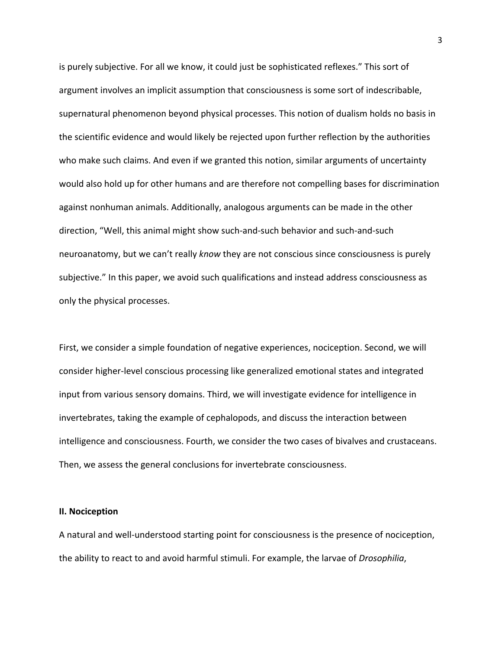is purely subjective. For all we know, it could just be sophisticated reflexes." This sort of argument involves an implicit assumption that consciousness is some sort of indescribable, supernatural phenomenon beyond physical processes. This notion of dualism holds no basis in the scientific evidence and would likely be rejected upon further reflection by the authorities who make such claims. And even if we granted this notion, similar arguments of uncertainty would also hold up for other humans and are therefore not compelling bases for discrimination against nonhuman animals. Additionally, analogous arguments can be made in the other direction, "Well, this animal might show such-and-such behavior and such-and-such neuroanatomy, but we can't really *know* they are not conscious since consciousness is purely subjective." In this paper, we avoid such qualifications and instead address consciousness as only the physical processes.

First, we consider a simple foundation of negative experiences, nociception. Second, we will consider higher-level conscious processing like generalized emotional states and integrated input from various sensory domains. Third, we will investigate evidence for intelligence in invertebrates, taking the example of cephalopods, and discuss the interaction between intelligence and consciousness. Fourth, we consider the two cases of bivalves and crustaceans. Then, we assess the general conclusions for invertebrate consciousness.

#### **II. Nociception**

A natural and well-understood starting point for consciousness is the presence of nociception, the ability to react to and avoid harmful stimuli. For example, the larvae of *Drosophilia*,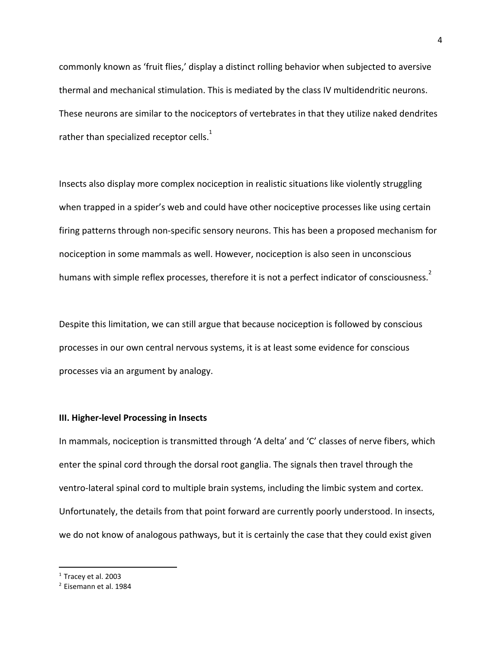commonly known as 'fruit flies,' display a distinct rolling behavior when subjected to aversive thermal and mechanical stimulation. This is mediated by the class IV multidendritic neurons. These neurons are similar to the nociceptors of vertebrates in that they utilize naked dendrites rather than specialized receptor cells.<sup>1</sup>

Insects also display more complex nociception in realistic situations like violently struggling when trapped in a spider's web and could have other nociceptive processes like using certain firing patterns through non-specific sensory neurons. This has been a proposed mechanism for nociception in some mammals as well. However, nociception is also seen in unconscious humans with simple reflex processes, therefore it is not a perfect indicator of consciousness.<sup>2</sup>

Despite this limitation, we can still argue that because nociception is followed by conscious processes in our own central nervous systems, it is at least some evidence for conscious processes via an argument by analogy.

## **III. Higher-level Processing in Insects**

In mammals, nociception is transmitted through 'A delta' and 'C' classes of nerve fibers, which enter the spinal cord through the dorsal root ganglia. The signals then travel through the ventro-lateral spinal cord to multiple brain systems, including the limbic system and cortex. Unfortunately, the details from that point forward are currently poorly understood. In insects, we do not know of analogous pathways, but it is certainly the case that they could exist given

 $<sup>1</sup>$  Tracev et al. 2003</sup>

<sup>2</sup> Eisemann et al. 1984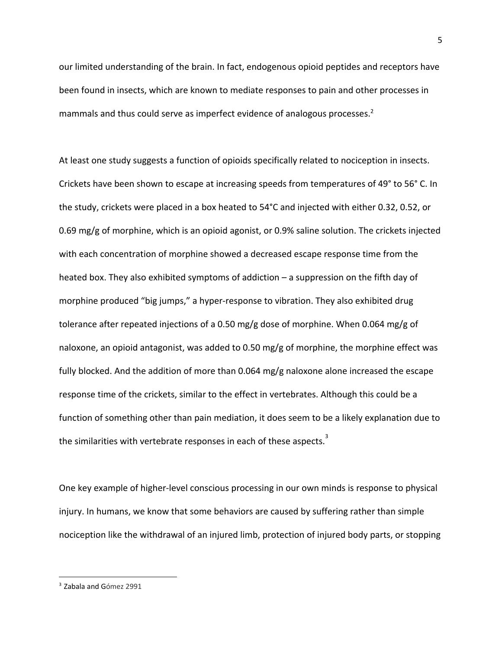our limited understanding of the brain. In fact, endogenous opioid peptides and receptors have been found in insects, which are known to mediate responses to pain and other processes in mammals and thus could serve as imperfect evidence of analogous processes. 2

At least one study suggests a function of opioids specifically related to nociception in insects. Crickets have been shown to escape at increasing speeds from temperatures of 49° to 56° C. In the study, crickets were placed in a box heated to 54°C and injected with either 0.32, 0.52, or 0.69 mg/g of morphine, which is an opioid agonist, or 0.9% saline solution. The crickets injected with each concentration of morphine showed a decreased escape response time from the heated box. They also exhibited symptoms of addiction – a suppression on the fifth day of morphine produced "big jumps," a hyper-response to vibration. They also exhibited drug tolerance after repeated injections of a 0.50 mg/g dose of morphine. When 0.064 mg/g of naloxone, an opioid antagonist, was added to 0.50 mg/g of morphine, the morphine effect was fully blocked. And the addition of more than 0.064 mg/g naloxone alone increased the escape response time of the crickets, similar to the effect in vertebrates. Although this could be a function of something other than pain mediation, it does seem to be a likely explanation due to the similarities with vertebrate responses in each of these aspects.<sup>3</sup>

One key example of higher-level conscious processing in our own minds is response to physical injury. In humans, we know that some behaviors are caused by suffering rather than simple nociception like the withdrawal of an injured limb, protection of injured body parts, or stopping

<sup>&</sup>lt;sup>3</sup> Zabala and Gómez 2991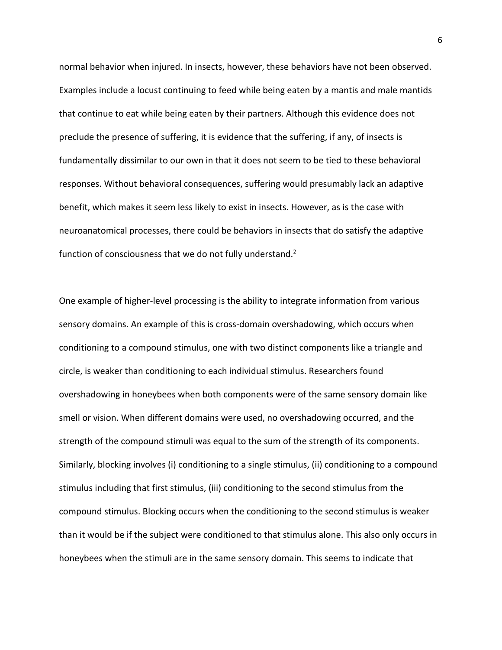normal behavior when injured. In insects, however, these behaviors have not been observed. Examples include a locust continuing to feed while being eaten by a mantis and male mantids that continue to eat while being eaten by their partners. Although this evidence does not preclude the presence of suffering, it is evidence that the suffering, if any, of insects is fundamentally dissimilar to our own in that it does not seem to be tied to these behavioral responses. Without behavioral consequences, suffering would presumably lack an adaptive benefit, which makes it seem less likely to exist in insects. However, as is the case with neuroanatomical processes, there could be behaviors in insects that do satisfy the adaptive function of consciousness that we do not fully understand.<sup>2</sup>

One example of higher-level processing is the ability to integrate information from various sensory domains. An example of this is cross-domain overshadowing, which occurs when conditioning to a compound stimulus, one with two distinct components like a triangle and circle, is weaker than conditioning to each individual stimulus. Researchers found overshadowing in honeybees when both components were of the same sensory domain like smell or vision. When different domains were used, no overshadowing occurred, and the strength of the compound stimuli was equal to the sum of the strength of its components. Similarly, blocking involves (i) conditioning to a single stimulus, (ii) conditioning to a compound stimulus including that first stimulus, (iii) conditioning to the second stimulus from the compound stimulus. Blocking occurs when the conditioning to the second stimulus is weaker than it would be if the subject were conditioned to that stimulus alone. This also only occurs in honeybees when the stimuli are in the same sensory domain. This seems to indicate that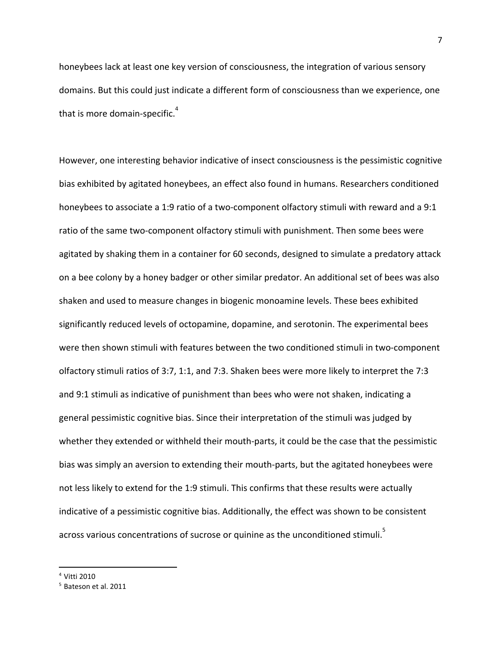honeybees lack at least one key version of consciousness, the integration of various sensory domains. But this could just indicate a different form of consciousness than we experience, one that is more domain-specific. $^{4}$ 

However, one interesting behavior indicative of insect consciousness is the pessimistic cognitive bias exhibited by agitated honeybees, an effect also found in humans. Researchers conditioned honeybees to associate a 1:9 ratio of a two-component olfactory stimuli with reward and a 9:1 ratio of the same two-component olfactory stimuli with punishment. Then some bees were agitated by shaking them in a container for 60 seconds, designed to simulate a predatory attack on a bee colony by a honey badger or other similar predator. An additional set of bees was also shaken and used to measure changes in biogenic monoamine levels. These bees exhibited significantly reduced levels of octopamine, dopamine, and serotonin. The experimental bees were then shown stimuli with features between the two conditioned stimuli in two-component olfactory stimuli ratios of 3:7, 1:1, and 7:3. Shaken bees were more likely to interpret the 7:3 and 9:1 stimuli as indicative of punishment than bees who were not shaken, indicating a general pessimistic cognitive bias. Since their interpretation of the stimuli was judged by whether they extended or withheld their mouth-parts, it could be the case that the pessimistic bias was simply an aversion to extending their mouth-parts, but the agitated honeybees were not less likely to extend for the 1:9 stimuli. This confirms that these results were actually indicative of a pessimistic cognitive bias. Additionally, the effect was shown to be consistent across various concentrations of sucrose or quinine as the unconditioned stimuli. $^{5}$ 

<sup>4</sup> Vitti 2010

<sup>&</sup>lt;sup>5</sup> Bateson et al. 2011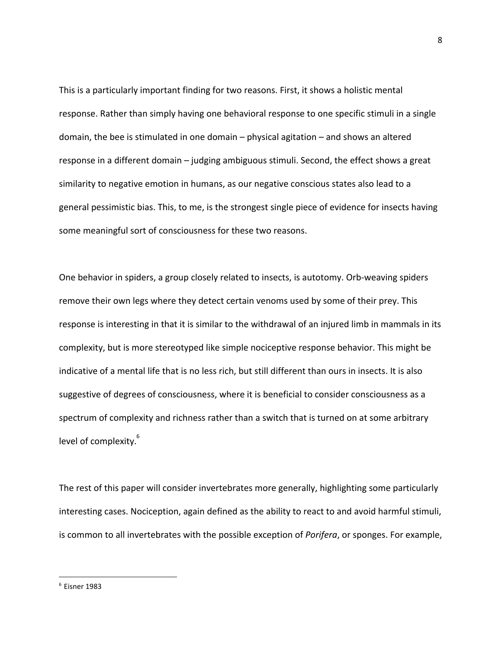This is a particularly important finding for two reasons. First, it shows a holistic mental response. Rather than simply having one behavioral response to one specific stimuli in a single domain, the bee is stimulated in one domain – physical agitation – and shows an altered response in a different domain – judging ambiguous stimuli. Second, the effect shows a great similarity to negative emotion in humans, as our negative conscious states also lead to a general pessimistic bias. This, to me, is the strongest single piece of evidence for insects having some meaningful sort of consciousness for these two reasons.

One behavior in spiders, a group closely related to insects, is autotomy. Orb-weaving spiders remove their own legs where they detect certain venoms used by some of their prey. This response is interesting in that it is similar to the withdrawal of an injured limb in mammals in its complexity, but is more stereotyped like simple nociceptive response behavior. This might be indicative of a mental life that is no less rich, but still different than ours in insects. It is also suggestive of degrees of consciousness, where it is beneficial to consider consciousness as a spectrum of complexity and richness rather than a switch that is turned on at some arbitrary level of complexity.<sup>6</sup>

The rest of this paper will consider invertebrates more generally, highlighting some particularly interesting cases. Nociception, again defined as the ability to react to and avoid harmful stimuli, is common to all invertebrates with the possible exception of *Porifera*, or sponges. For example,

<sup>8</sup>

 $6$  Eisner 1983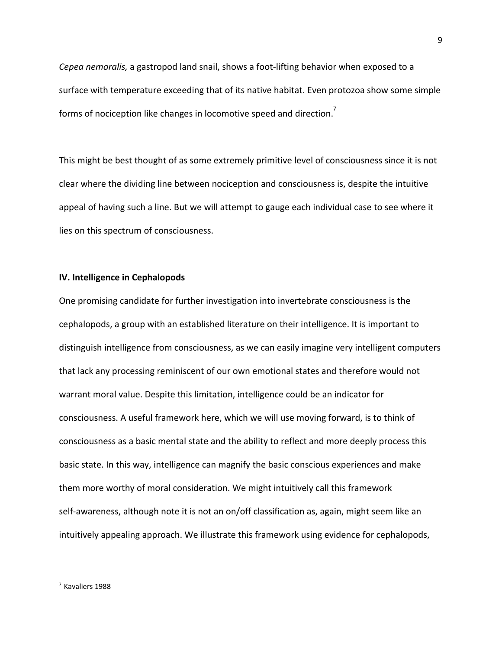*Cepea nemoralis,* a gastropod land snail, shows a foot-lifting behavior when exposed to a surface with temperature exceeding that of its native habitat. Even protozoa show some simple forms of nociception like changes in locomotive speed and direction.<sup>7</sup>

This might be best thought of as some extremely primitive level of consciousness since it is not clear where the dividing line between nociception and consciousness is, despite the intuitive appeal of having such a line. But we will attempt to gauge each individual case to see where it lies on this spectrum of consciousness.

#### **IV. Intelligence in Cephalopods**

One promising candidate for further investigation into invertebrate consciousness is the cephalopods, a group with an established literature on their intelligence. It is important to distinguish intelligence from consciousness, as we can easily imagine very intelligent computers that lack any processing reminiscent of our own emotional states and therefore would not warrant moral value. Despite this limitation, intelligence could be an indicator for consciousness. A useful framework here, which we will use moving forward, is to think of consciousness as a basic mental state and the ability to reflect and more deeply process this basic state. In this way, intelligence can magnify the basic conscious experiences and make them more worthy of moral consideration. We might intuitively call this framework self-awareness, although note it is not an on/off classification as, again, might seem like an intuitively appealing approach. We illustrate this framework using evidence for cephalopods,

<sup>7</sup> Kavaliers 1988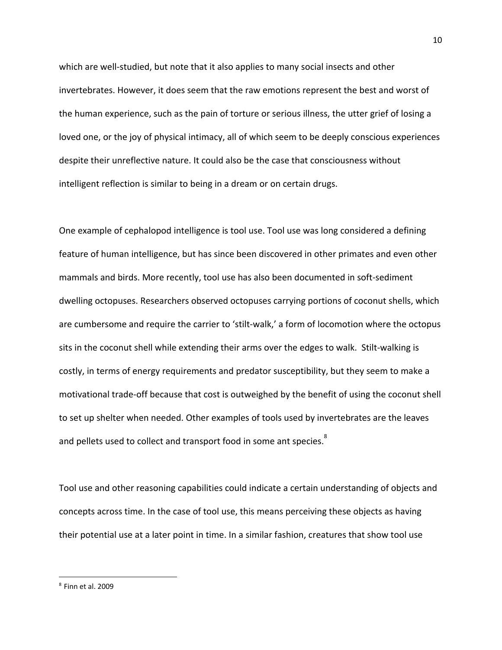which are well-studied, but note that it also applies to many social insects and other invertebrates. However, it does seem that the raw emotions represent the best and worst of the human experience, such as the pain of torture or serious illness, the utter grief of losing a loved one, or the joy of physical intimacy, all of which seem to be deeply conscious experiences despite their unreflective nature. It could also be the case that consciousness without intelligent reflection is similar to being in a dream or on certain drugs.

One example of cephalopod intelligence is tool use. Tool use was long considered a defining feature of human intelligence, but has since been discovered in other primates and even other mammals and birds. More recently, tool use has also been documented in soft-sediment dwelling octopuses. Researchers observed octopuses carrying portions of coconut shells, which are cumbersome and require the carrier to 'stilt-walk,' a form of locomotion where the octopus sits in the coconut shell while extending their arms over the edges to walk. Stilt-walking is costly, in terms of energy requirements and predator susceptibility, but they seem to make a motivational trade-off because that cost is outweighed by the benefit of using the coconut shell to set up shelter when needed. Other examples of tools used by invertebrates are the leaves and pellets used to collect and transport food in some ant species. $^{8}$ 

Tool use and other reasoning capabilities could indicate a certain understanding of objects and concepts across time. In the case of tool use, this means perceiving these objects as having their potential use at a later point in time. In a similar fashion, creatures that show tool use

<sup>8</sup> Finn et al. 2009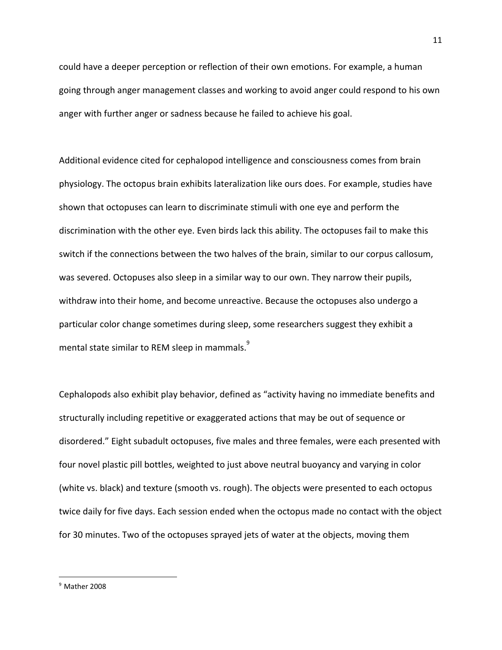could have a deeper perception or reflection of their own emotions. For example, a human going through anger management classes and working to avoid anger could respond to his own anger with further anger or sadness because he failed to achieve his goal.

Additional evidence cited for cephalopod intelligence and consciousness comes from brain physiology. The octopus brain exhibits lateralization like ours does. For example, studies have shown that octopuses can learn to discriminate stimuli with one eye and perform the discrimination with the other eye. Even birds lack this ability. The octopuses fail to make this switch if the connections between the two halves of the brain, similar to our corpus callosum, was severed. Octopuses also sleep in a similar way to our own. They narrow their pupils, withdraw into their home, and become unreactive. Because the octopuses also undergo a particular color change sometimes during sleep, some researchers suggest they exhibit a mental state similar to REM sleep in mammals. $^{\text{9}}$ 

Cephalopods also exhibit play behavior, defined as "activity having no immediate benefits and structurally including repetitive or exaggerated actions that may be out of sequence or disordered." Eight subadult octopuses, five males and three females, were each presented with four novel plastic pill bottles, weighted to just above neutral buoyancy and varying in color (white vs. black) and texture (smooth vs. rough). The objects were presented to each octopus twice daily for five days. Each session ended when the octopus made no contact with the object for 30 minutes. Two of the octopuses sprayed jets of water at the objects, moving them

 $9$  Mather 2008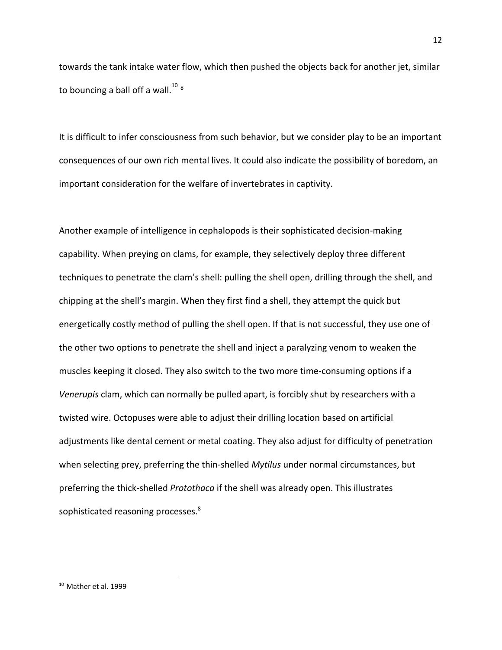towards the tank intake water flow, which then pushed the objects back for another jet, similar to bouncing a ball off a wall. $^{10}$   $^{8}$ 

It is difficult to infer consciousness from such behavior, but we consider play to be an important consequences of our own rich mental lives. It could also indicate the possibility of boredom, an important consideration for the welfare of invertebrates in captivity.

Another example of intelligence in cephalopods is their sophisticated decision-making capability. When preying on clams, for example, they selectively deploy three different techniques to penetrate the clam's shell: pulling the shell open, drilling through the shell, and chipping at the shell's margin. When they first find a shell, they attempt the quick but energetically costly method of pulling the shell open. If that is not successful, they use one of the other two options to penetrate the shell and inject a paralyzing venom to weaken the muscles keeping it closed. They also switch to the two more time-consuming options if a *Venerupis* clam, which can normally be pulled apart, is forcibly shut by researchers with a twisted wire. Octopuses were able to adjust their drilling location based on artificial adjustments like dental cement or metal coating. They also adjust for difficulty of penetration when selecting prey, preferring the thin-shelled *Mytilus* under normal circumstances, but preferring the thick-shelled *Protothaca* if the shell was already open. This illustrates sophisticated reasoning processes.<sup>8</sup>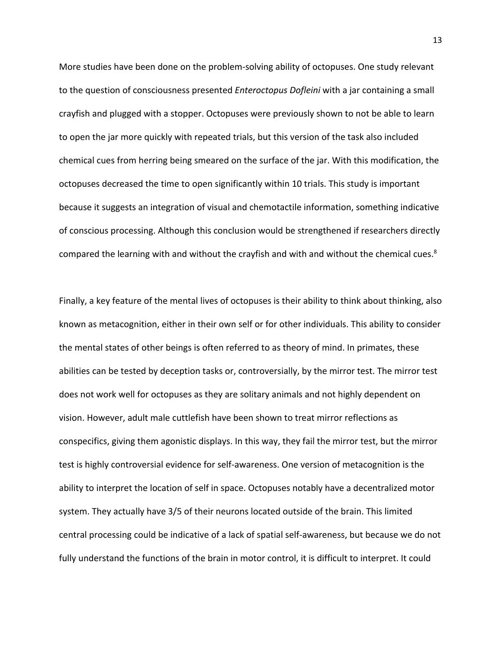More studies have been done on the problem-solving ability of octopuses. One study relevant to the question of consciousness presented *Enteroctopus Dofleini* with a jar containing a small crayfish and plugged with a stopper. Octopuses were previously shown to not be able to learn to open the jar more quickly with repeated trials, but this version of the task also included chemical cues from herring being smeared on the surface of the jar. With this modification, the octopuses decreased the time to open significantly within 10 trials. This study is important because it suggests an integration of visual and chemotactile information, something indicative of conscious processing. Although this conclusion would be strengthened if researchers directly compared the learning with and without the crayfish and with and without the chemical cues.<sup>8</sup>

Finally, a key feature of the mental lives of octopuses is their ability to think about thinking, also known as metacognition, either in their own self or for other individuals. This ability to consider the mental states of other beings is often referred to as theory of mind. In primates, these abilities can be tested by deception tasks or, controversially, by the mirror test. The mirror test does not work well for octopuses as they are solitary animals and not highly dependent on vision. However, adult male cuttlefish have been shown to treat mirror reflections as conspecifics, giving them agonistic displays. In this way, they fail the mirror test, but the mirror test is highly controversial evidence for self-awareness. One version of metacognition is the ability to interpret the location of self in space. Octopuses notably have a decentralized motor system. They actually have 3/5 of their neurons located outside of the brain. This limited central processing could be indicative of a lack of spatial self-awareness, but because we do not fully understand the functions of the brain in motor control, it is difficult to interpret. It could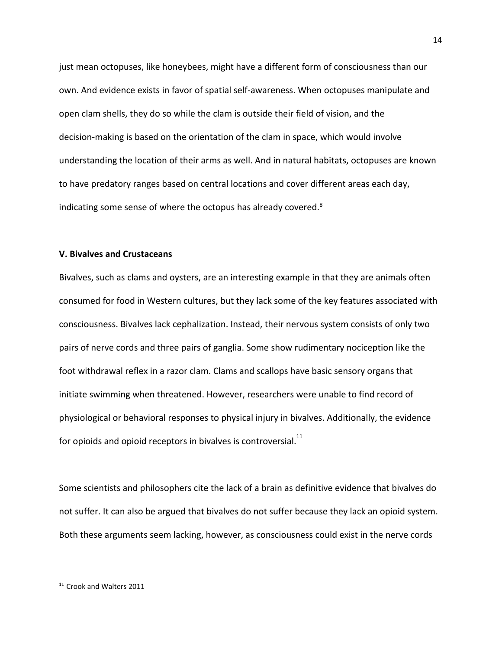just mean octopuses, like honeybees, might have a different form of consciousness than our own. And evidence exists in favor of spatial self-awareness. When octopuses manipulate and open clam shells, they do so while the clam is outside their field of vision, and the decision-making is based on the orientation of the clam in space, which would involve understanding the location of their arms as well. And in natural habitats, octopuses are known to have predatory ranges based on central locations and cover different areas each day, indicating some sense of where the octopus has already covered.<sup>8</sup>

## **V. Bivalves and Crustaceans**

Bivalves, such as clams and oysters, are an interesting example in that they are animals often consumed for food in Western cultures, but they lack some of the key features associated with consciousness. Bivalves lack cephalization. Instead, their nervous system consists of only two pairs of nerve cords and three pairs of ganglia. Some show rudimentary nociception like the foot withdrawal reflex in a razor clam. Clams and scallops have basic sensory organs that initiate swimming when threatened. However, researchers were unable to find record of physiological or behavioral responses to physical injury in bivalves. Additionally, the evidence for opioids and opioid receptors in bivalves is controversial. $^{11}$ 

Some scientists and philosophers cite the lack of a brain as definitive evidence that bivalves do not suffer. It can also be argued that bivalves do not suffer because they lack an opioid system. Both these arguments seem lacking, however, as consciousness could exist in the nerve cords

<sup>&</sup>lt;sup>11</sup> Crook and Walters 2011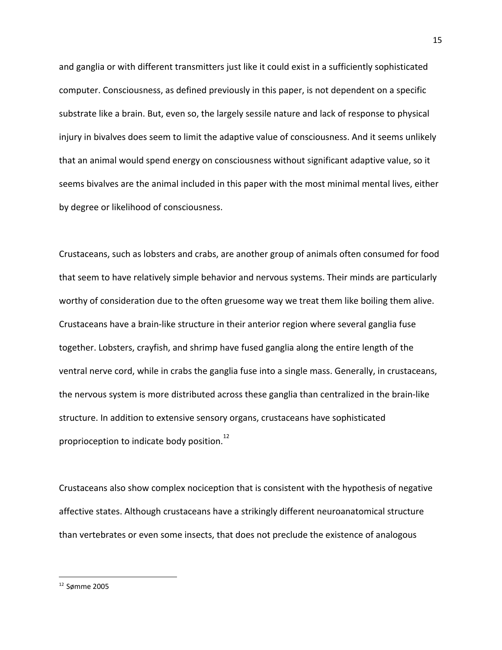and ganglia or with different transmitters just like it could exist in a sufficiently sophisticated computer. Consciousness, as defined previously in this paper, is not dependent on a specific substrate like a brain. But, even so, the largely sessile nature and lack of response to physical injury in bivalves does seem to limit the adaptive value of consciousness. And it seems unlikely that an animal would spend energy on consciousness without significant adaptive value, so it seems bivalves are the animal included in this paper with the most minimal mental lives, either by degree or likelihood of consciousness.

Crustaceans, such as lobsters and crabs, are another group of animals often consumed for food that seem to have relatively simple behavior and nervous systems. Their minds are particularly worthy of consideration due to the often gruesome way we treat them like boiling them alive. Crustaceans have a brain-like structure in their anterior region where several ganglia fuse together. Lobsters, crayfish, and shrimp have fused ganglia along the entire length of the ventral nerve cord, while in crabs the ganglia fuse into a single mass. Generally, in crustaceans, the nervous system is more distributed across these ganglia than centralized in the brain-like structure. In addition to extensive sensory organs, crustaceans have sophisticated proprioception to indicate body position.<sup>12</sup>

Crustaceans also show complex nociception that is consistent with the hypothesis of negative affective states. Although crustaceans have a strikingly different neuroanatomical structure than vertebrates or even some insects, that does not preclude the existence of analogous

<sup>15</sup>

 $12$  Sømme 2005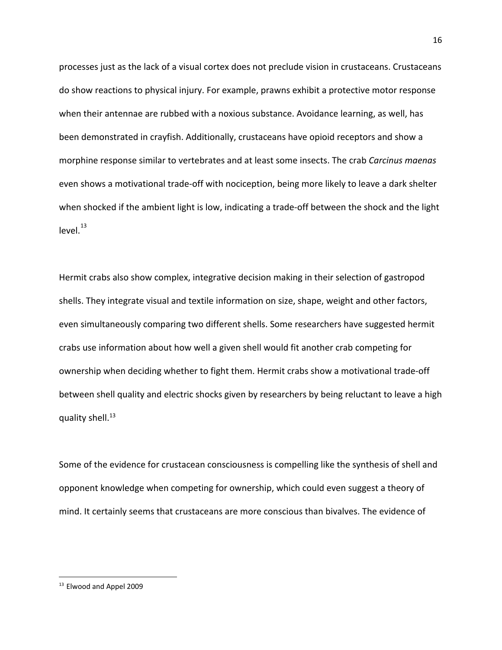processes just as the lack of a visual cortex does not preclude vision in crustaceans. Crustaceans do show reactions to physical injury. For example, prawns exhibit a protective motor response when their antennae are rubbed with a noxious substance. Avoidance learning, as well, has been demonstrated in crayfish. Additionally, crustaceans have opioid receptors and show a morphine response similar to vertebrates and at least some insects. The crab *Carcinus maenas* even shows a motivational trade-off with nociception, being more likely to leave a dark shelter when shocked if the ambient light is low, indicating a trade-off between the shock and the light level. 13

Hermit crabs also show complex, integrative decision making in their selection of gastropod shells. They integrate visual and textile information on size, shape, weight and other factors, even simultaneously comparing two different shells. Some researchers have suggested hermit crabs use information about how well a given shell would fit another crab competing for ownership when deciding whether to fight them. Hermit crabs show a motivational trade-off between shell quality and electric shocks given by researchers by being reluctant to leave a high quality shell.<sup>13</sup>

Some of the evidence for crustacean consciousness is compelling like the synthesis of shell and opponent knowledge when competing for ownership, which could even suggest a theory of mind. It certainly seems that crustaceans are more conscious than bivalves. The evidence of

<sup>&</sup>lt;sup>13</sup> Elwood and Appel 2009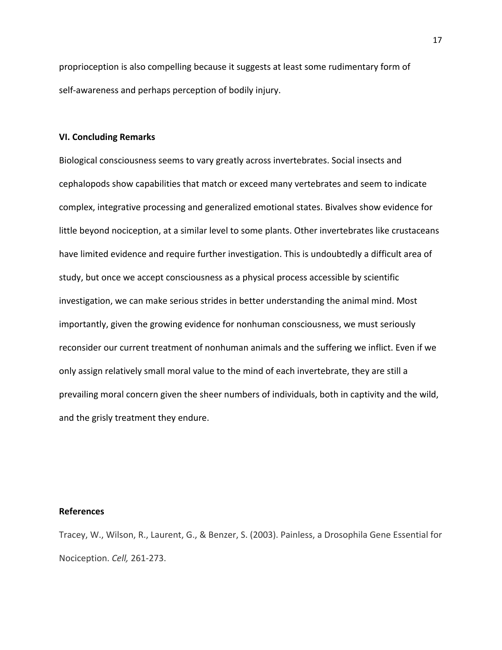proprioception is also compelling because it suggests at least some rudimentary form of self-awareness and perhaps perception of bodily injury.

# **VI. Concluding Remarks**

Biological consciousness seems to vary greatly across invertebrates. Social insects and cephalopods show capabilities that match or exceed many vertebrates and seem to indicate complex, integrative processing and generalized emotional states. Bivalves show evidence for little beyond nociception, at a similar level to some plants. Other invertebrates like crustaceans have limited evidence and require further investigation. This is undoubtedly a difficult area of study, but once we accept consciousness as a physical process accessible by scientific investigation, we can make serious strides in better understanding the animal mind. Most importantly, given the growing evidence for nonhuman consciousness, we must seriously reconsider our current treatment of nonhuman animals and the suffering we inflict. Even if we only assign relatively small moral value to the mind of each invertebrate, they are still a prevailing moral concern given the sheer numbers of individuals, both in captivity and the wild, and the grisly treatment they endure.

#### **References**

Tracey, W., Wilson, R., Laurent, G., & Benzer, S. (2003). Painless, a Drosophila Gene Essential for Nociception. *Cell,* 261-273.

17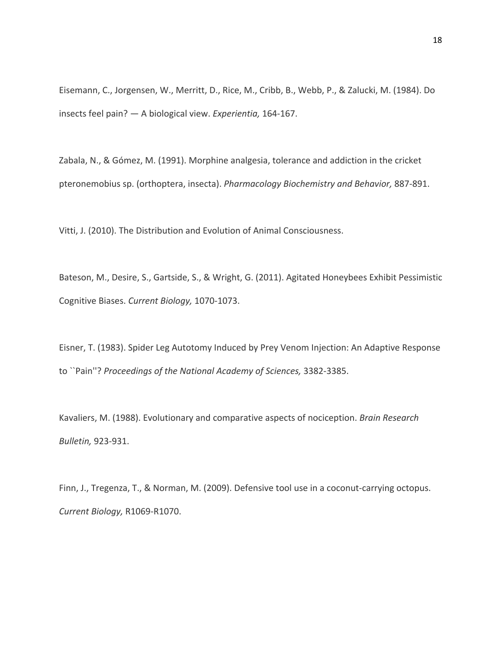Eisemann, C., Jorgensen, W., Merritt, D., Rice, M., Cribb, B., Webb, P., & Zalucki, M. (1984). Do insects feel pain? — A biological view. *Experientia,* 164-167.

Zabala, N., & Gómez, M. (1991). Morphine analgesia, tolerance and addiction in the cricket pteronemobius sp. (orthoptera, insecta). *Pharmacology Biochemistry and Behavior,* 887-891.

Vitti, J. (2010). The Distribution and Evolution of Animal Consciousness.

Bateson, M., Desire, S., Gartside, S., & Wright, G. (2011). Agitated Honeybees Exhibit Pessimistic Cognitive Biases. *Current Biology,* 1070-1073.

Eisner, T. (1983). Spider Leg Autotomy Induced by Prey Venom Injection: An Adaptive Response to ``Pain''? *Proceedings of the National Academy of Sciences,* 3382-3385.

Kavaliers, M. (1988). Evolutionary and comparative aspects of nociception. *Brain Research Bulletin,* 923-931.

Finn, J., Tregenza, T., & Norman, M. (2009). Defensive tool use in a coconut-carrying octopus. *Current Biology,* R1069-R1070.